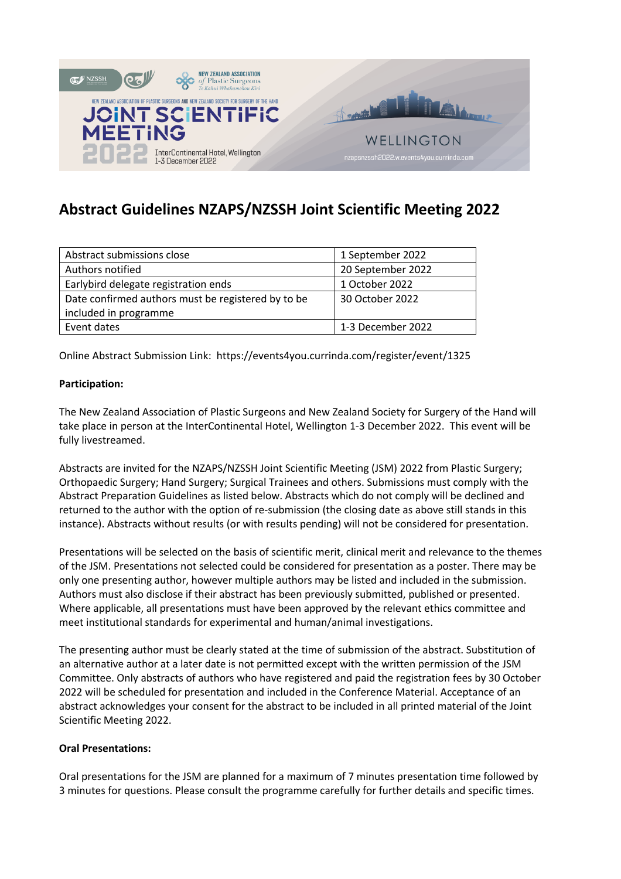

# **Abstract Guidelines NZAPS/NZSSH Joint Scientific Meeting 2022**

| Abstract submissions close                         | 1 September 2022  |
|----------------------------------------------------|-------------------|
| Authors notified                                   | 20 September 2022 |
| Earlybird delegate registration ends               | 1 October 2022    |
| Date confirmed authors must be registered by to be | 30 October 2022   |
| included in programme                              |                   |
| Event dates                                        | 1-3 December 2022 |

Online Abstract Submission Link: https://events4you.currinda.com/register/event/1325

# **Participation:**

The New Zealand Association of Plastic Surgeons and New Zealand Society for Surgery of the Hand will take place in person at the InterContinental Hotel, Wellington 1-3 December 2022. This event will be fully livestreamed.

Abstracts are invited for the NZAPS/NZSSH Joint Scientific Meeting (JSM) 2022 from Plastic Surgery; Orthopaedic Surgery; Hand Surgery; Surgical Trainees and others. Submissions must comply with the Abstract Preparation Guidelines as listed below. Abstracts which do not comply will be declined and returned to the author with the option of re-submission (the closing date as above still stands in this instance). Abstracts without results (or with results pending) will not be considered for presentation.

Presentations will be selected on the basis of scientific merit, clinical merit and relevance to the themes of the JSM. Presentations not selected could be considered for presentation as a poster. There may be only one presenting author, however multiple authors may be listed and included in the submission. Authors must also disclose if their abstract has been previously submitted, published or presented. Where applicable, all presentations must have been approved by the relevant ethics committee and meet institutional standards for experimental and human/animal investigations.

The presenting author must be clearly stated at the time of submission of the abstract. Substitution of an alternative author at a later date is not permitted except with the written permission of the JSM Committee. Only abstracts of authors who have registered and paid the registration fees by 30 October 2022 will be scheduled for presentation and included in the Conference Material. Acceptance of an abstract acknowledges your consent for the abstract to be included in all printed material of the Joint Scientific Meeting 2022.

#### **Oral Presentations:**

Oral presentations for the JSM are planned for a maximum of 7 minutes presentation time followed by 3 minutes for questions. Please consult the programme carefully for further details and specific times.